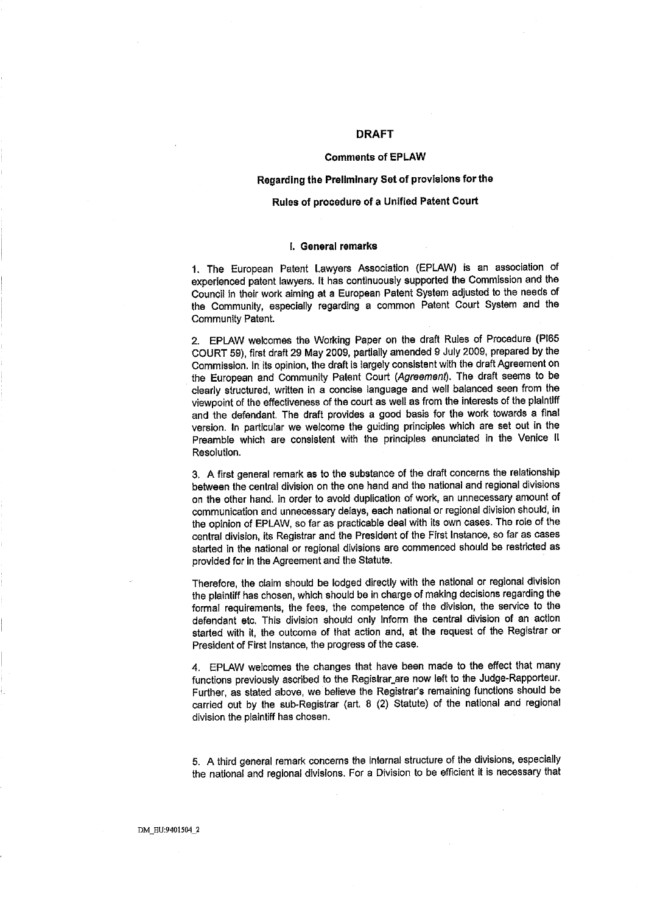# DRAFT

# Comments of EPLAW

## Regarding the Preliminary Set of provisions for the

# Rules of procedure of a Unified Patent Court

# I. General remarks

1. The European Patent Lawyers Association (EPLAW) is an association of experienced patent lawyers. It has contìnuously supported the Commission and the Council in their work aiming at a European Patent System adjusted to the needs of the Community, especially regarding a common Patent Court System and the Community Patent.

2. EPLAW welcomes the Working Paper on the draft Rules of Procedure (PIB5 COURT 59), first draft 29 May 2009, partially amended 9 July 2009, prepared by the Commission. In its opinion, the draft is largely consistent with the draft Agreement on the European and Community Patent Court (Agreement). The draft seems to be clearly structured, wrìten in a concise language and well balanced seen from the viewpoint of the effectiveness of the court as well as from the interests of the plaintiff and the defendant. The draft provides a good basis for the work towards a flnal version. In particular we welcome the guiding principles which are set out in the Preamble which are consistent with the principles enunciated in the Venice II Resolution.

3. A first general remark as to the substance of the draft concerns the relationship between the central division on the one hand and the national and regional divisions on the other hand. In order to avoid duplication of work, an unnecessary amount of communication and unnecessary delays, each national or regional division should, in the opinion of EPLAW, so far as practicable deal with its own cases. The role of the central division, its Registrar and the President of the First Instance. so far as cases started in the national or regional divisions are commenced should be restricted as provided for in the Agreement and the Statute.

Therefore, the claim should be lodged directly with the national or regional division the plainliff has chosen, which should be in charge of making decisions regarding the formal requirements, the fees, the competence of the division, the service to the defendant etc. This division should only inform the central division of an acllon started with it, the outcome of that action and, at the request of the Registrar or President of First Instance, the progress of the case.

4. EPLAW welcomes the changes that have been made to the effect that many functions previously ascribed to the Registrar are now left to the Judge-Rapporteur. Further, as stated above, we believe the Registrar's remaining functions should be carried out by the sub-Registrar (art. 8 (2) Statute) of the national and regional division the plaintiff has chosen.

5. A third general remark concerns the internal structure of the divisions. especially the national and regional divisions. For a Division to be effcient it is necessary that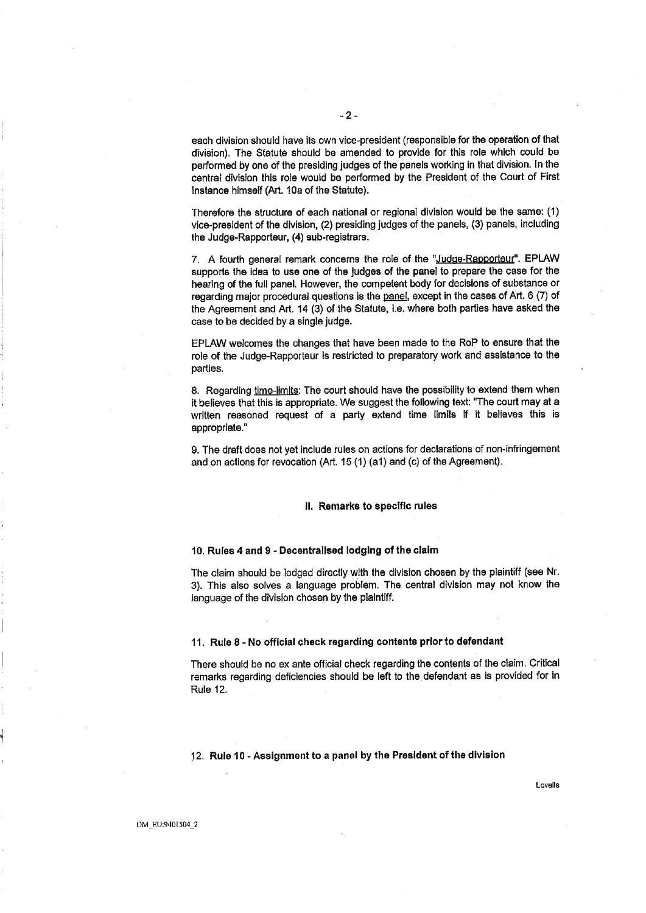each division should have its own vice-president (responsible for the operation of that division). The Statute should be amended to provide for this role which could be performed by one of the presiding judges of the panels working in that division. In the central division this role would be performed by the President of the Court of First Instance himself (Art. 10a of the Statute).

Therefore the structure of each national or regional division would be the same: (1) vice-president of the division, (2) presiding judges of the panels, (3) panels, including the Judge-Rapporteur, (4) sub-registrars.

7. A fourth general remark concerns the role of the "Judge-Rapporteur". EPLAW supporls the idea to use one of the judges of the panel to prepare the case for the hearing of the full panel. However, the competent body for decisions of substance or regarding major procedural questions is the panel, except in the cases of Art. 6 (7) of the Agreement and Art. 14 (3) of the Statute, i.e. where both parties have asked the case to be decided by a single judge.

EPLAW welcomes the changes that have been made to the RaP to ensure that the role of the Judge-Rapporteur is restricted to preparatory work and assistance to the parties.

8. Regarding time-limits: The court should have the possibility to extend them when it believes that this is appropriate. We suggest the following text: 'The court may at a written reasoned request of a party extend time limits if It believes this is appropriate."

9. The draft does not yet include rules on actions for declarations of non-infringement and on actions for revocation (Art. 15 (1) (a1) and (c) of the Agreement).

# II. Remarks to specific rules

#### 10. Rules 4 and 9 - Decentrallsed lodging of the claIm

The claim should be lodged directly with the division chosen by the plaintiff (see Nr. 3). This also solves a language problem. The central division may not know the language of the division chosen by the plaintiff.

#### 11. Rule 8 - No official check regarding contents prior to defendant

There should be no ex ante official check regarding the contents of the claim. Critical remarks regarding deficiencies should be left to the defendant as is provided for in Rule 12.

#### 12. Rule 10 - Assignment to a panel by the President of the division

Lovells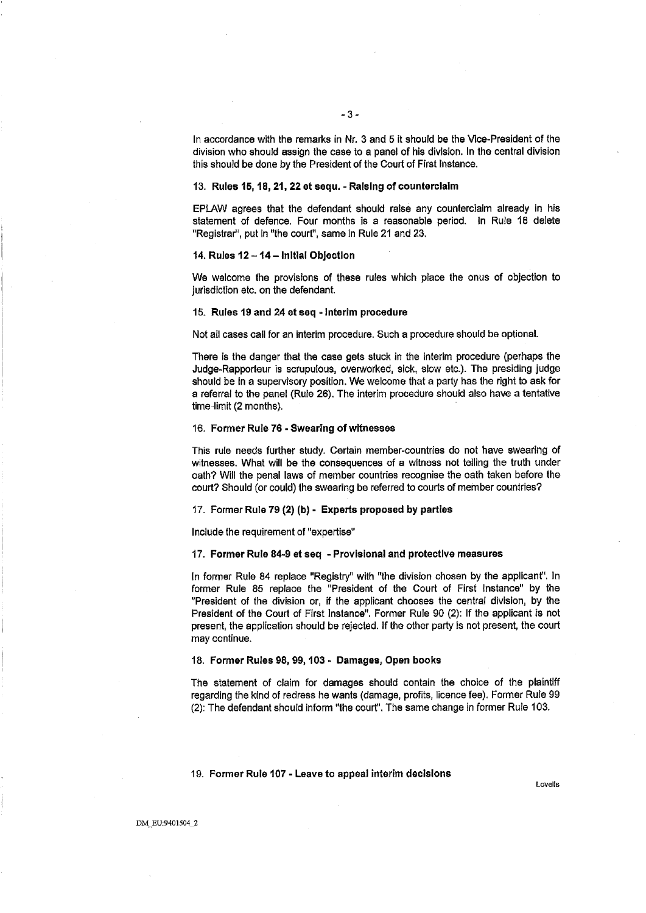In accordance with the remarks in Nr. 3 and 5 it should be the Vice-President of the division who should assign the case to a panel of his division. In the central division this should be done by the President of the Court of First Instance.

# 13. Rules 15, 18,21,22 et sequ. - RaIsing of counterclaim

EPLAW agrees that the defendant should raise any counterclaim already in his statement of defence. Four months is a reasonable period. In Rule 18 delete "Registrat', put in "the court", same in Rule 21 and 23.

# 14. Rules 12 - 14 - Initial Objection

We welcome the provisions of these rules which place the onus of objection to jurisdiction etc. on the defendant.

#### 15. Rules 19 and 24 etseq -Interim procedure

Not all cases call for an interim procedure. Such a procedure should be optionaL.

There is the danger that the case gets stuck in the interim procedure (perhaps the Judge.Rapporteur is scrupulous, overworked, sick, slow etc.). The presiding judge should be in a supervisory position. We welcome that a party has the right to ask for a referral to the panel (Rule 26). The interim procedure should also have a tentative time-limit (2 months).

#### 16. Former Rule 76. Swearing of witnesses

This rule needs further study. Certain member-countries do not have swearing of witnesses. What will be the consequences of a wItness not telling the truth under oath? Wil the penal laws of member countries recognise the oath taken before the court? Should (or could) the swearing be referred to courts of member countries?

# 17. Former Rule 79 (2) (b) - Experts proposed by parties

Include the requirement of "expertise"

#### 17. Former Rule 84.9 at seq - Provisional and protective measures

In former Rule 84 replace "Registry" with "the division chosen by the applicant". In former Rule 85 replace the "President of the Court of First Instance" by the "President of the division or, if the applicant chooses the central division, by the President of the Court of First Instance". Former Rule 90 (2): If the applicant is not present, the application should be rejected. If the other party is not present, the court may continue.

## 18. Former Rules 98, 99, 103. Damages, Open books

The statement of claim for damages should contain the choice of the plaintiff regarding the kind of redress he wants (damage, profis, licence fee). Former Rule 99 (2): The defendant should inform "the court". The same change in former Rule 103.

#### 19. Fonner Rule 107. Leave to appeal interim decisions

Lovells